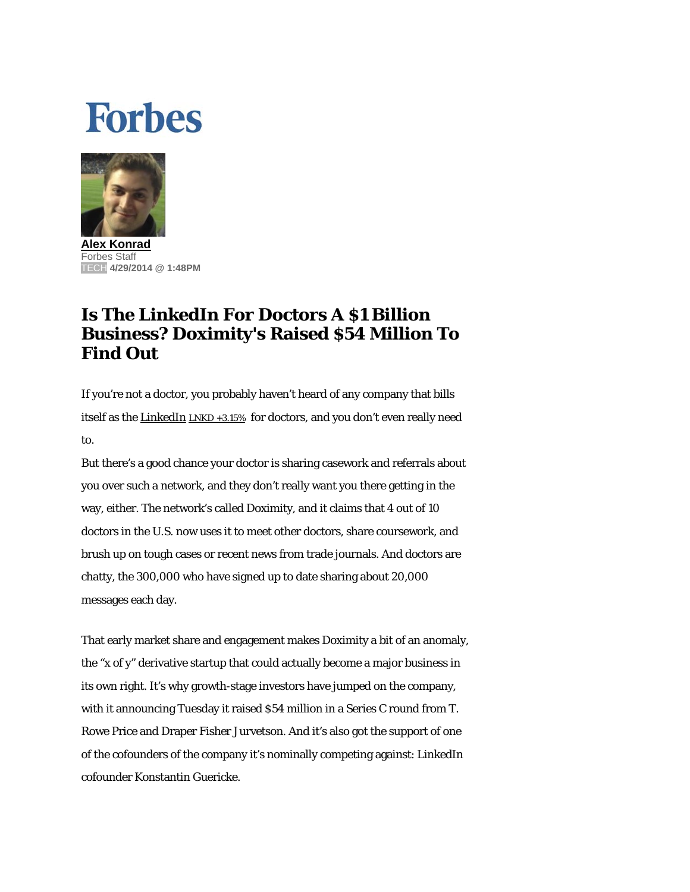## **Forbes**



**Alex Konrad** Forbes Staff TECH **4/29/2014 @ 1:48PM** 

## **Is The LinkedIn For Doctors A \$1 Billion Business? Doximity's Raised \$54 Million To Find Out**

If you're not a doctor, you probably haven't heard of any company that bills itself as the **LinkedIn** LNKD +3.15% for doctors, and you don't even really need to.

But there's a good chance your doctor is sharing casework and referrals about you over such a network, and they don't really want you there getting in the way, either. The network's called Doximity, and it claims that 4 out of 10 doctors in the U.S. now uses it to meet other doctors, share coursework, and brush up on tough cases or recent news from trade journals. And doctors are chatty, the 300,000 who have signed up to date sharing about 20,000 messages each day.

That early market share and engagement makes Doximity a bit of an anomaly, the "x of y" derivative startup that could actually become a major business in its own right. It's why growth-stage investors have jumped on the company, with it announcing Tuesday it raised \$54 million in a Series C round from T. Rowe Price and Draper Fisher Jurvetson. And it's also got the support of one of the cofounders of the company it's nominally competing against: LinkedIn cofounder Konstantin Guericke.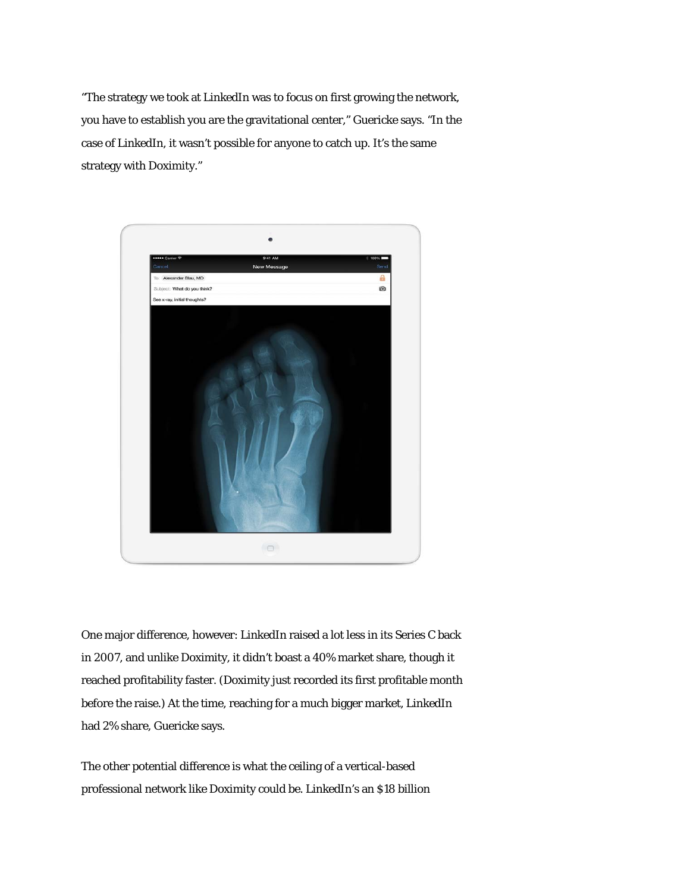"The strategy we took at LinkedIn was to focus on first growing the network, you have to establish you are the gravitational center," Guericke says. "In the case of LinkedIn, it wasn't possible for anyone to catch up. It's the same strategy with Doximity."



One major difference, however: LinkedIn raised a lot less in its Series C back in 2007, and unlike Doximity, it didn't boast a 40% market share, though it reached profitability faster. (Doximity just recorded its first profitable month before the raise.) At the time, reaching for a much bigger market, LinkedIn had 2% share, Guericke says.

The other potential difference is what the ceiling of a vertical-based professional network like Doximity could be. LinkedIn's an \$18 billion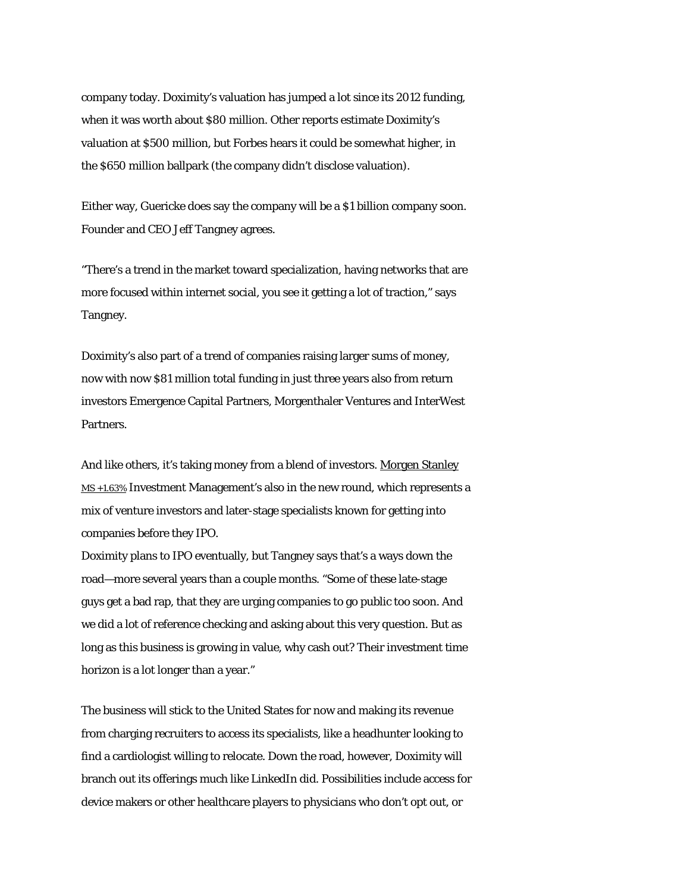company today. Doximity's valuation has jumped a lot since its 2012 funding, when it was worth about \$80 million. Other reports estimate Doximity's valuation at \$500 million, but Forbes hears it could be somewhat higher, in the \$650 million ballpark (the company didn't disclose valuation).

Either way, Guericke does say the company will be a \$1 billion company soon. Founder and CEO Jeff Tangney agrees.

"There's a trend in the market toward specialization, having networks that are more focused within internet social, you see it getting a lot of traction," says Tangney.

Doximity's also part of a trend of companies raising larger sums of money, now with now \$81 million total funding in just three years also from return investors Emergence Capital Partners, Morgenthaler Ventures and InterWest Partners.

And like others, it's taking money from a blend of investors. Morgen Stanley MS +1.63% Investment Management's also in the new round, which represents a mix of venture investors and later-stage specialists known for getting into companies before they IPO.

Doximity plans to IPO eventually, but Tangney says that's a ways down the road—more several years than a couple months. "Some of these late-stage guys get a bad rap, that they are urging companies to go public too soon. And we did a lot of reference checking and asking about this very question. But as long as this business is growing in value, why cash out? Their investment time horizon is a lot longer than a year."

The business will stick to the United States for now and making its revenue from charging recruiters to access its specialists, like a headhunter looking to find a cardiologist willing to relocate. Down the road, however, Doximity will branch out its offerings much like LinkedIn did. Possibilities include access for device makers or other healthcare players to physicians who don't opt out, or